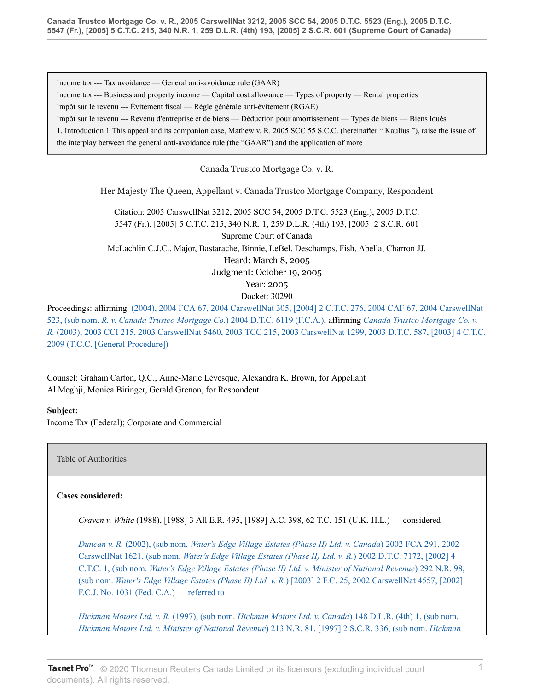Income tax --- Tax avoidance — General anti-avoidance rule (GAAR) Income tax --- Business and property income — Capital cost allowance — Types of property — Rental properties Impôt sur le revenu --- Évitement fiscal — Règle générale anti-évitement (RGAE) Impôt sur le revenu --- Revenu d'entreprise et de biens — Déduction pour amortissement — Types de biens — Biens loués 1. Introduction 1 This appeal and its companion case, Mathew v. R. 2005 SCC 55 S.C.C. (hereinafter " Kaulius "), raise the issue of the interplay between the general anti-avoidance rule (the "GAAR") and the application of more

Canada Trustco Mortgage Co. v. R.

Her Majesty The Queen, Appellant v. Canada Trustco Mortgage Company, Respondent

Citation: 2005 CarswellNat 3212, 2005 SCC 54, 2005 D.T.C. 5523 (Eng.), 2005 D.T.C. 5547 (Fr.), [2005] 5 C.T.C. 215, 340 N.R. 1, 259 D.L.R. (4th) 193, [2005] 2 S.C.R. 601 Supreme Court of Canada McLachlin C.J.C., Major, Bastarache, Binnie, LeBel, Deschamps, Fish, Abella, Charron JJ. Heard: March 8, 2005 Judgment: October 19, 2005 Year: 2005 Docket: 30290

Proceedings: affirming [\(2004\), 2004 FCA 67, 2004 CarswellNat 305, \[2004\] 2 C.T.C. 276, 2004 CAF 67, 2004 CarswellNat](http://v3.taxnetpro.com/Document/I8d7d9393aad45dece0440003ba833f85/View/FullText.html?originationContext=document&vr=3.0&rs=cblt1.0&transitionType=DocumentItem&contextData=(sc.Search)) 523, (sub nom. *[R. v. Canada Trustco Mortgage Co.](http://v3.taxnetpro.com/Document/I8d7d9393aad45dece0440003ba833f85/View/FullText.html?originationContext=document&vr=3.0&rs=cblt1.0&transitionType=DocumentItem&contextData=(sc.Search))*) 2004 D.T.C. 6119 (F.C.A.), affirming *[Canada Trustco Mortgage Co. v.](http://v3.taxnetpro.com/Document/I8d7d9393caea5dece0440003ba833f85/View/FullText.html?originationContext=document&vr=3.0&rs=cblt1.0&transitionType=DocumentItem&contextData=(sc.Search)) R.* [\(2003\), 2003 CCI 215, 2003 CarswellNat 5460, 2003 TCC 215, 2003 CarswellNat 1299, 2003 D.T.C. 587, \[2003\] 4 C.T.C.](http://v3.taxnetpro.com/Document/I8d7d9393caea5dece0440003ba833f85/View/FullText.html?originationContext=document&vr=3.0&rs=cblt1.0&transitionType=DocumentItem&contextData=(sc.Search)) [2009 \(T.C.C. \[General Procedure\]\)](http://v3.taxnetpro.com/Document/I8d7d9393caea5dece0440003ba833f85/View/FullText.html?originationContext=document&vr=3.0&rs=cblt1.0&transitionType=DocumentItem&contextData=(sc.Search))

Counsel: Graham Carton, Q.C., Anne-Marie Lévesque, Alexandra K. Brown, for Appellant Al Meghji, Monica Biringer, Gerald Grenon, for Respondent

**Subject:**

Income Tax (Federal); Corporate and Commercial

Table of Authorities

### **Cases considered:**

*Craven v. White* (1988), [1988] 3 All E.R. 495, [1989] A.C. 398, 62 T.C. 151 (U.K. H.L.) — considered

*Duncan v. R.* (2002), (sub nom. *[Water's Edge Village Estates \(Phase II\) Ltd. v. Canada](http://v3.taxnetpro.com/Document/I8d7d9393d13b5dece0440003ba833f85/View/FullText.html?originationContext=document&vr=3.0&rs=cblt1.0&transitionType=DocumentItem&contextData=(sc.Search))*) 2002 FCA 291, 2002 CarswellNat 1621, (sub nom. *[Water's Edge Village Estates \(Phase II\) Ltd. v. R.](http://v3.taxnetpro.com/Document/I8d7d9393d13b5dece0440003ba833f85/View/FullText.html?originationContext=document&vr=3.0&rs=cblt1.0&transitionType=DocumentItem&contextData=(sc.Search))*) 2002 D.T.C. 7172, [2002] 4 C.T.C. 1, (sub nom. *[Water's Edge Village Estates \(Phase II\) Ltd. v. Minister of National Revenue](http://v3.taxnetpro.com/Document/I8d7d9393d13b5dece0440003ba833f85/View/FullText.html?originationContext=document&vr=3.0&rs=cblt1.0&transitionType=DocumentItem&contextData=(sc.Search))*) 292 N.R. 98, (sub nom. *Water's Edge Village Estates (Phase II) Ltd. v. R.*[\) \[2003\] 2 F.C. 25, 2002 CarswellNat 4557, \[2002\]](http://v3.taxnetpro.com/Document/I8d7d9393d13b5dece0440003ba833f85/View/FullText.html?originationContext=document&vr=3.0&rs=cblt1.0&transitionType=DocumentItem&contextData=(sc.Search)) [F.C.J. No. 1031 \(Fed. C.A.\) — referred to](http://v3.taxnetpro.com/Document/I8d7d9393d13b5dece0440003ba833f85/View/FullText.html?originationContext=document&vr=3.0&rs=cblt1.0&transitionType=DocumentItem&contextData=(sc.Search))

*Hickman Motors Ltd. v. R.* (1997), (sub nom. *[Hickman Motors Ltd. v. Canada](http://v3.taxnetpro.com/Document/I8d7d939412e15dece0440003ba833f85/View/FullText.html?originationContext=document&vr=3.0&rs=cblt1.0&transitionType=DocumentItem&contextData=(sc.Search))*) 148 D.L.R. (4th) 1, (sub nom. *[Hickman Motors Ltd. v. Minister of National Revenue](http://v3.taxnetpro.com/Document/I8d7d939412e15dece0440003ba833f85/View/FullText.html?originationContext=document&vr=3.0&rs=cblt1.0&transitionType=DocumentItem&contextData=(sc.Search))*) 213 N.R. 81, [1997] 2 S.C.R. 336, (sub nom. *Hickman*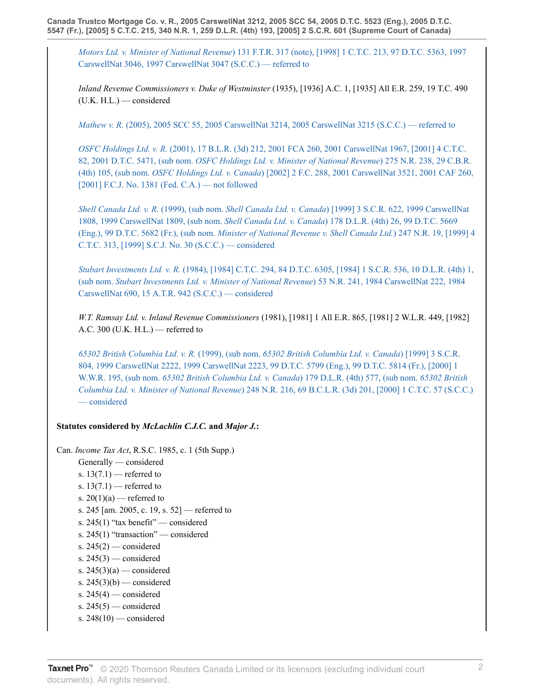*Motors Ltd. v. Minister of National Revenue*[\) 131 F.T.R. 317 \(note\), \[1998\] 1 C.T.C. 213, 97 D.T.C. 5363, 1997](http://v3.taxnetpro.com/Document/I8d7d939412e15dece0440003ba833f85/View/FullText.html?originationContext=document&vr=3.0&rs=cblt1.0&transitionType=DocumentItem&contextData=(sc.Search)) [CarswellNat 3046, 1997 CarswellNat 3047 \(S.C.C.\) — referred to](http://v3.taxnetpro.com/Document/I8d7d939412e15dece0440003ba833f85/View/FullText.html?originationContext=document&vr=3.0&rs=cblt1.0&transitionType=DocumentItem&contextData=(sc.Search))

*Inland Revenue Commissioners v. Duke of Westminster* (1935), [1936] A.C. 1, [1935] All E.R. 259, 19 T.C. 490 (U.K. H.L.) — considered

*Mathew v. R.* [\(2005\), 2005 SCC 55, 2005 CarswellNat 3214, 2005 CarswellNat 3215 \(S.C.C.\) — referred to](http://v3.taxnetpro.com/Document/I8d7d9393941e5dece0440003ba833f85/View/FullText.html?originationContext=document&vr=3.0&rs=cblt1.0&transitionType=DocumentItem&contextData=(sc.Search))

*OSFC Holdings Ltd. v. R.* [\(2001\), 17 B.L.R. \(3d\) 212, 2001 FCA 260, 2001 CarswellNat 1967, \[2001\] 4 C.T.C.](http://v3.taxnetpro.com/Document/I8d7d9393e22e5dece0440003ba833f85/View/FullText.html?originationContext=document&vr=3.0&rs=cblt1.0&transitionType=DocumentItem&contextData=(sc.Search)) 82, 2001 D.T.C. 5471, (sub nom. *[OSFC Holdings Ltd. v. Minister of National Revenue](http://v3.taxnetpro.com/Document/I8d7d9393e22e5dece0440003ba833f85/View/FullText.html?originationContext=document&vr=3.0&rs=cblt1.0&transitionType=DocumentItem&contextData=(sc.Search))*) 275 N.R. 238, 29 C.B.R. (4th) 105, (sub nom. *OSFC Holdings Ltd. v. Canada*[\) \[2002\] 2 F.C. 288, 2001 CarswellNat 3521, 2001 CAF 260,](http://v3.taxnetpro.com/Document/I8d7d9393e22e5dece0440003ba833f85/View/FullText.html?originationContext=document&vr=3.0&rs=cblt1.0&transitionType=DocumentItem&contextData=(sc.Search)) [\[2001\] F.C.J. No. 1381 \(Fed. C.A.\) — not followed](http://v3.taxnetpro.com/Document/I8d7d9393e22e5dece0440003ba833f85/View/FullText.html?originationContext=document&vr=3.0&rs=cblt1.0&transitionType=DocumentItem&contextData=(sc.Search))

*Shell Canada Ltd. v. R.* (1999), (sub nom. *Shell Canada Ltd. v. Canada*[\) \[1999\] 3 S.C.R. 622, 1999 CarswellNat](http://v3.taxnetpro.com/Document/I8d7d9393fbab5dece0440003ba833f85/View/FullText.html?originationContext=document&vr=3.0&rs=cblt1.0&transitionType=DocumentItem&contextData=(sc.Search)) [1808, 1999 CarswellNat 1809, \(sub nom.](http://v3.taxnetpro.com/Document/I8d7d9393fbab5dece0440003ba833f85/View/FullText.html?originationContext=document&vr=3.0&rs=cblt1.0&transitionType=DocumentItem&contextData=(sc.Search)) *Shell Canada Ltd. v. Canada*) 178 D.L.R. (4th) 26, 99 D.T.C. 5669 (Eng.), 99 D.T.C. 5682 (Fr.), (sub nom. *[Minister of National Revenue v. Shell Canada Ltd.](http://v3.taxnetpro.com/Document/I8d7d9393fbab5dece0440003ba833f85/View/FullText.html?originationContext=document&vr=3.0&rs=cblt1.0&transitionType=DocumentItem&contextData=(sc.Search))*) 247 N.R. 19, [1999] 4 [C.T.C. 313, \[1999\] S.C.J. No. 30 \(S.C.C.\) — considered](http://v3.taxnetpro.com/Document/I8d7d9393fbab5dece0440003ba833f85/View/FullText.html?originationContext=document&vr=3.0&rs=cblt1.0&transitionType=DocumentItem&contextData=(sc.Search))

*Stubart Investments Ltd. v. R.* [\(1984\), \[1984\] C.T.C. 294, 84 D.T.C. 6305, \[1984\] 1 S.C.R. 536, 10 D.L.R. \(4th\) 1,](http://v3.taxnetpro.com/Document/I8d7d939468ac5dece0440003ba833f85/View/FullText.html?originationContext=document&vr=3.0&rs=cblt1.0&transitionType=DocumentItem&contextData=(sc.Search)) (sub nom. *[Stubart Investments Ltd. v. Minister of National Revenue](http://v3.taxnetpro.com/Document/I8d7d939468ac5dece0440003ba833f85/View/FullText.html?originationContext=document&vr=3.0&rs=cblt1.0&transitionType=DocumentItem&contextData=(sc.Search))*) 53 N.R. 241, 1984 CarswellNat 222, 1984 [CarswellNat 690, 15 A.T.R. 942 \(S.C.C.\) — considered](http://v3.taxnetpro.com/Document/I8d7d939468ac5dece0440003ba833f85/View/FullText.html?originationContext=document&vr=3.0&rs=cblt1.0&transitionType=DocumentItem&contextData=(sc.Search))

*W.T. Ramsay Ltd. v. Inland Revenue Commissioners* (1981), [1981] 1 All E.R. 865, [1981] 2 W.L.R. 449, [1982] A.C. 300 (U.K. H.L.) — referred to

*65302 British Columbia Ltd. v. R.* (1999), (sub nom. *[65302 British Columbia Ltd. v. Canada](http://v3.taxnetpro.com/Document/I8d7d9393fba55dece0440003ba833f85/View/FullText.html?originationContext=document&vr=3.0&rs=cblt1.0&transitionType=DocumentItem&contextData=(sc.Search))*) [1999] 3 S.C.R. [804, 1999 CarswellNat 2222, 1999 CarswellNat 2223, 99 D.T.C. 5799 \(Eng.\), 99 D.T.C. 5814 \(Fr.\), \[2000\] 1](http://v3.taxnetpro.com/Document/I8d7d9393fba55dece0440003ba833f85/View/FullText.html?originationContext=document&vr=3.0&rs=cblt1.0&transitionType=DocumentItem&contextData=(sc.Search)) W.W.R. 195, (sub nom. *[65302 British Columbia Ltd. v. Canada](http://v3.taxnetpro.com/Document/I8d7d9393fba55dece0440003ba833f85/View/FullText.html?originationContext=document&vr=3.0&rs=cblt1.0&transitionType=DocumentItem&contextData=(sc.Search))*) 179 D.L.R. (4th) 577, (sub nom. *65302 British Columbia Ltd. v. Minister of National Revenue*[\) 248 N.R. 216, 69 B.C.L.R. \(3d\) 201, \[2000\] 1 C.T.C. 57 \(S.C.C.\)](http://v3.taxnetpro.com/Document/I8d7d9393fba55dece0440003ba833f85/View/FullText.html?originationContext=document&vr=3.0&rs=cblt1.0&transitionType=DocumentItem&contextData=(sc.Search)) [— considered](http://v3.taxnetpro.com/Document/I8d7d9393fba55dece0440003ba833f85/View/FullText.html?originationContext=document&vr=3.0&rs=cblt1.0&transitionType=DocumentItem&contextData=(sc.Search))

# **Statutes considered by** *McLachlin C.J.C.* **and** *Major J.***:**

Can. *Income Tax Act*, R.S.C. 1985, c. 1 (5th Supp.)

Generally — considered s.  $13(7.1)$  — referred to s.  $13(7.1)$  — referred to s.  $20(1)(a)$  — referred to s. 245 [am. 2005, c. 19, s. 52] — referred to s. 245(1) "tax benefit" — considered s. 245(1) "transaction" — considered s.  $245(2)$  — considered s.  $245(3)$  — considered s.  $245(3)(a)$  — considered s.  $245(3)(b)$  — considered s.  $245(4)$  — considered s.  $245(5)$  — considered s. 248(10) — considered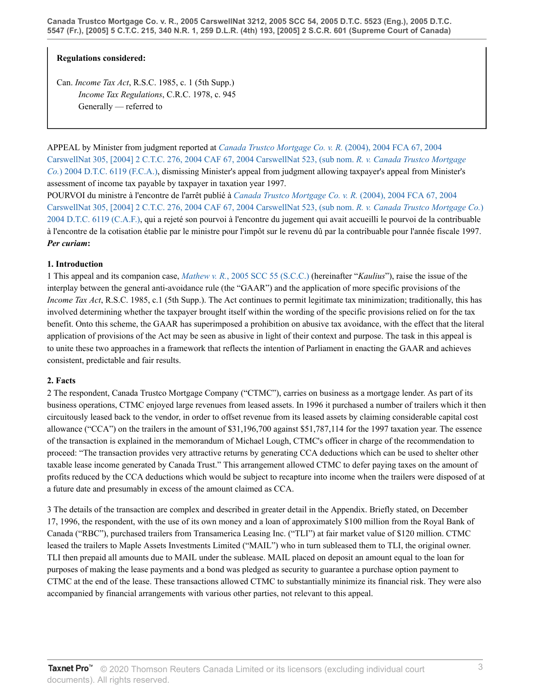## **Regulations considered:**

Can. *Income Tax Act*, R.S.C. 1985, c. 1 (5th Supp.) *Income Tax Regulations*, C.R.C. 1978, c. 945 Generally — referred to

APPEAL by Minister from judgment reported at *[Canada Trustco Mortgage Co. v. R.](http://v3.taxnetpro.com/Document/I8d7d9393aad45dece0440003ba833f85/View/FullText.html?originationContext=document&vr=3.0&rs=cblt1.0&transitionType=DocumentItem&contextData=(sc.Search))* (2004), 2004 FCA 67, 2004 [CarswellNat 305, \[2004\] 2 C.T.C. 276, 2004 CAF 67, 2004 CarswellNat 523, \(sub nom.](http://v3.taxnetpro.com/Document/I8d7d9393aad45dece0440003ba833f85/View/FullText.html?originationContext=document&vr=3.0&rs=cblt1.0&transitionType=DocumentItem&contextData=(sc.Search)) *R. v. Canada Trustco Mortgage Co.*[\) 2004 D.T.C. 6119 \(F.C.A.\),](http://v3.taxnetpro.com/Document/I8d7d9393aad45dece0440003ba833f85/View/FullText.html?originationContext=document&vr=3.0&rs=cblt1.0&transitionType=DocumentItem&contextData=(sc.Search)) dismissing Minister's appeal from judgment allowing taxpayer's appeal from Minister's assessment of income tax payable by taxpayer in taxation year 1997.

POURVOI du ministre à l'encontre de l'arrêt publié à *[Canada Trustco Mortgage Co. v. R.](http://v3.taxnetpro.com/Document/I8d7d9393aad45dece0440003ba833f85/View/FullText.html?originationContext=document&vr=3.0&rs=cblt1.0&transitionType=DocumentItem&contextData=(sc.Search))* (2004), 2004 FCA 67, 2004 [CarswellNat 305, \[2004\] 2 C.T.C. 276, 2004 CAF 67, 2004 CarswellNat 523, \(sub nom.](http://v3.taxnetpro.com/Document/I8d7d9393aad45dece0440003ba833f85/View/FullText.html?originationContext=document&vr=3.0&rs=cblt1.0&transitionType=DocumentItem&contextData=(sc.Search)) *R. v. Canada Trustco Mortgage Co.*) [2004 D.T.C. 6119 \(C.A.F.\),](http://v3.taxnetpro.com/Document/I8d7d9393aad45dece0440003ba833f85/View/FullText.html?originationContext=document&vr=3.0&rs=cblt1.0&transitionType=DocumentItem&contextData=(sc.Search)) qui a rejeté son pourvoi à l'encontre du jugement qui avait accueilli le pourvoi de la contribuable à l'encontre de la cotisation établie par le ministre pour l'impôt sur le revenu dû par la contribuable pour l'année fiscale 1997. *Per curiam***:**

### **1. Introduction**

1 This appeal and its companion case, *Mathew v. R.*[, 2005 SCC 55 \(S.C.C.\)](http://v3.taxnetpro.com/Document/I8d7d9393941e5dece0440003ba833f85/View/FullText.html?originationContext=document&vr=3.0&rs=cblt1.0&transitionType=DocumentItem&contextData=(sc.Search)) (hereinafter "*Kaulius*"), raise the issue of the interplay between the general anti-avoidance rule (the "GAAR") and the application of more specific provisions of the *Income Tax Act*, R.S.C. 1985, c.1 (5th Supp.). The Act continues to permit legitimate tax minimization; traditionally, this has involved determining whether the taxpayer brought itself within the wording of the specific provisions relied on for the tax benefit. Onto this scheme, the GAAR has superimposed a prohibition on abusive tax avoidance, with the effect that the literal application of provisions of the Act may be seen as abusive in light of their context and purpose. The task in this appeal is to unite these two approaches in a framework that reflects the intention of Parliament in enacting the GAAR and achieves consistent, predictable and fair results.

### **2. Facts**

2 The respondent, Canada Trustco Mortgage Company ("CTMC"), carries on business as a mortgage lender. As part of its business operations, CTMC enjoyed large revenues from leased assets. In 1996 it purchased a number of trailers which it then circuitously leased back to the vendor, in order to offset revenue from its leased assets by claiming considerable capital cost allowance ("CCA") on the trailers in the amount of \$31,196,700 against \$51,787,114 for the 1997 taxation year. The essence of the transaction is explained in the memorandum of Michael Lough, CTMC's officer in charge of the recommendation to proceed: "The transaction provides very attractive returns by generating CCA deductions which can be used to shelter other taxable lease income generated by Canada Trust." This arrangement allowed CTMC to defer paying taxes on the amount of profits reduced by the CCA deductions which would be subject to recapture into income when the trailers were disposed of at a future date and presumably in excess of the amount claimed as CCA.

3 The details of the transaction are complex and described in greater detail in the Appendix. Briefly stated, on December 17, 1996, the respondent, with the use of its own money and a loan of approximately \$100 million from the Royal Bank of Canada ("RBC"), purchased trailers from Transamerica Leasing Inc. ("TLI") at fair market value of \$120 million. CTMC leased the trailers to Maple Assets Investments Limited ("MAIL") who in turn subleased them to TLI, the original owner. TLI then prepaid all amounts due to MAIL under the sublease. MAIL placed on deposit an amount equal to the loan for purposes of making the lease payments and a bond was pledged as security to guarantee a purchase option payment to CTMC at the end of the lease. These transactions allowed CTMC to substantially minimize its financial risk. They were also accompanied by financial arrangements with various other parties, not relevant to this appeal.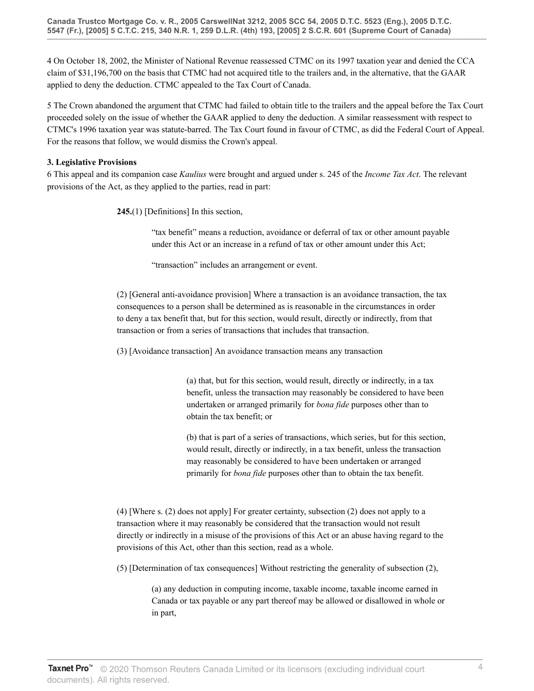4 On October 18, 2002, the Minister of National Revenue reassessed CTMC on its 1997 taxation year and denied the CCA claim of \$31,196,700 on the basis that CTMC had not acquired title to the trailers and, in the alternative, that the GAAR applied to deny the deduction. CTMC appealed to the Tax Court of Canada.

5 The Crown abandoned the argument that CTMC had failed to obtain title to the trailers and the appeal before the Tax Court proceeded solely on the issue of whether the GAAR applied to deny the deduction. A similar reassessment with respect to CTMC's 1996 taxation year was statute-barred. The Tax Court found in favour of CTMC, as did the Federal Court of Appeal. For the reasons that follow, we would dismiss the Crown's appeal.

# **3. Legislative Provisions**

6 This appeal and its companion case *Kaulius* were brought and argued under s. 245 of the *Income Tax Act*. The relevant provisions of the Act, as they applied to the parties, read in part:

**245.**(1) [Definitions] In this section,

"tax benefit" means a reduction, avoidance or deferral of tax or other amount payable under this Act or an increase in a refund of tax or other amount under this Act;

"transaction" includes an arrangement or event.

(2) [General anti-avoidance provision] Where a transaction is an avoidance transaction, the tax consequences to a person shall be determined as is reasonable in the circumstances in order to deny a tax benefit that, but for this section, would result, directly or indirectly, from that transaction or from a series of transactions that includes that transaction.

(3) [Avoidance transaction] An avoidance transaction means any transaction

(a) that, but for this section, would result, directly or indirectly, in a tax benefit, unless the transaction may reasonably be considered to have been undertaken or arranged primarily for *bona fide* purposes other than to obtain the tax benefit; or

(b) that is part of a series of transactions, which series, but for this section, would result, directly or indirectly, in a tax benefit, unless the transaction may reasonably be considered to have been undertaken or arranged primarily for *bona fide* purposes other than to obtain the tax benefit.

(4) [Where s. (2) does not apply] For greater certainty, subsection (2) does not apply to a transaction where it may reasonably be considered that the transaction would not result directly or indirectly in a misuse of the provisions of this Act or an abuse having regard to the provisions of this Act, other than this section, read as a whole.

(5) [Determination of tax consequences] Without restricting the generality of subsection (2),

(a) any deduction in computing income, taxable income, taxable income earned in Canada or tax payable or any part thereof may be allowed or disallowed in whole or in part,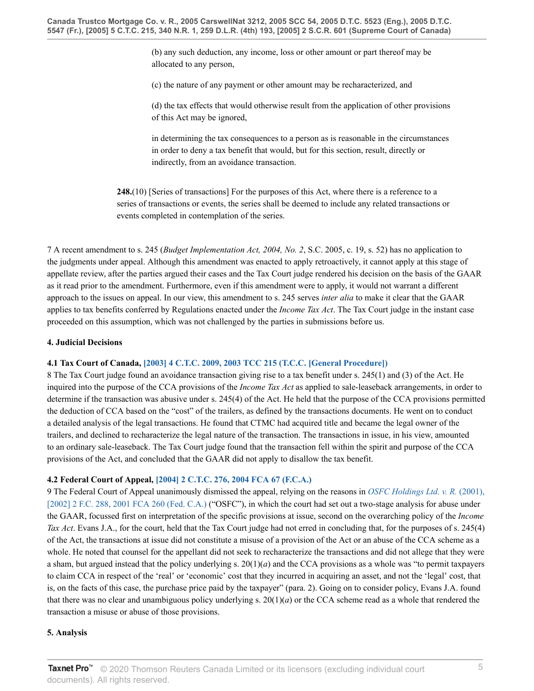(b) any such deduction, any income, loss or other amount or part thereof may be allocated to any person,

(c) the nature of any payment or other amount may be recharacterized, and

(d) the tax effects that would otherwise result from the application of other provisions of this Act may be ignored,

in determining the tax consequences to a person as is reasonable in the circumstances in order to deny a tax benefit that would, but for this section, result, directly or indirectly, from an avoidance transaction.

**248.**(10) [Series of transactions] For the purposes of this Act, where there is a reference to a series of transactions or events, the series shall be deemed to include any related transactions or events completed in contemplation of the series.

7 A recent amendment to s. 245 (*Budget Implementation Act, 2004, No. 2*, S.C. 2005, c. 19, s. 52) has no application to the judgments under appeal. Although this amendment was enacted to apply retroactively, it cannot apply at this stage of appellate review, after the parties argued their cases and the Tax Court judge rendered his decision on the basis of the GAAR as it read prior to the amendment. Furthermore, even if this amendment were to apply, it would not warrant a different approach to the issues on appeal. In our view, this amendment to s. 245 serves *inter alia* to make it clear that the GAAR applies to tax benefits conferred by Regulations enacted under the *Income Tax Act*. The Tax Court judge in the instant case proceeded on this assumption, which was not challenged by the parties in submissions before us.

### **4. Judicial Decisions**

# **4.1 Tax Court of Canada, [\[2003\] 4 C.T.C. 2009, 2003 TCC 215 \(T.C.C. \[General Procedure\]\)](http://v3.taxnetpro.com/Document/I8d7d9393caea5dece0440003ba833f85/View/FullText.html?originationContext=document&vr=3.0&rs=cblt1.0&transitionType=DocumentItem&contextData=(sc.Search))**

8 The Tax Court judge found an avoidance transaction giving rise to a tax benefit under s. 245(1) and (3) of the Act. He inquired into the purpose of the CCA provisions of the *Income Tax Act* as applied to sale-leaseback arrangements, in order to determine if the transaction was abusive under s. 245(4) of the Act. He held that the purpose of the CCA provisions permitted the deduction of CCA based on the "cost" of the trailers, as defined by the transactions documents. He went on to conduct a detailed analysis of the legal transactions. He found that CTMC had acquired title and became the legal owner of the trailers, and declined to recharacterize the legal nature of the transaction. The transactions in issue, in his view, amounted to an ordinary sale-leaseback. The Tax Court judge found that the transaction fell within the spirit and purpose of the CCA provisions of the Act, and concluded that the GAAR did not apply to disallow the tax benefit.

### **4.2 Federal Court of Appeal, [\[2004\] 2 C.T.C. 276, 2004 FCA 67 \(F.C.A.\)](http://v3.taxnetpro.com/Document/I8d7d9393aad45dece0440003ba833f85/View/FullText.html?originationContext=document&vr=3.0&rs=cblt1.0&transitionType=DocumentItem&contextData=(sc.Search))**

9 The Federal Court of Appeal unanimously dismissed the appeal, relying on the reasons in *[OSFC Holdings Ltd. v. R.](http://v3.taxnetpro.com/Document/I8d7d9393e22e5dece0440003ba833f85/View/FullText.html?originationContext=document&vr=3.0&rs=cblt1.0&transitionType=DocumentItem&contextData=(sc.Search))* (2001), [\[2002\] 2 F.C. 288, 2001 FCA 260 \(Fed. C.A.\)](http://v3.taxnetpro.com/Document/I8d7d9393e22e5dece0440003ba833f85/View/FullText.html?originationContext=document&vr=3.0&rs=cblt1.0&transitionType=DocumentItem&contextData=(sc.Search)) ("OSFC"), in which the court had set out a two-stage analysis for abuse under the GAAR, focussed first on interpretation of the specific provisions at issue, second on the overarching policy of the *Income Tax Act*. Evans J.A., for the court, held that the Tax Court judge had not erred in concluding that, for the purposes of s. 245(4) of the Act, the transactions at issue did not constitute a misuse of a provision of the Act or an abuse of the CCA scheme as a whole. He noted that counsel for the appellant did not seek to recharacterize the transactions and did not allege that they were a sham, but argued instead that the policy underlying s.  $20(1)(a)$  and the CCA provisions as a whole was "to permit taxpayers" to claim CCA in respect of the 'real' or 'economic' cost that they incurred in acquiring an asset, and not the 'legal' cost, that is, on the facts of this case, the purchase price paid by the taxpayer" (para. 2). Going on to consider policy, Evans J.A. found that there was no clear and unambiguous policy underlying s.  $20(1)(a)$  or the CCA scheme read as a whole that rendered the transaction a misuse or abuse of those provisions.

### **5. Analysis**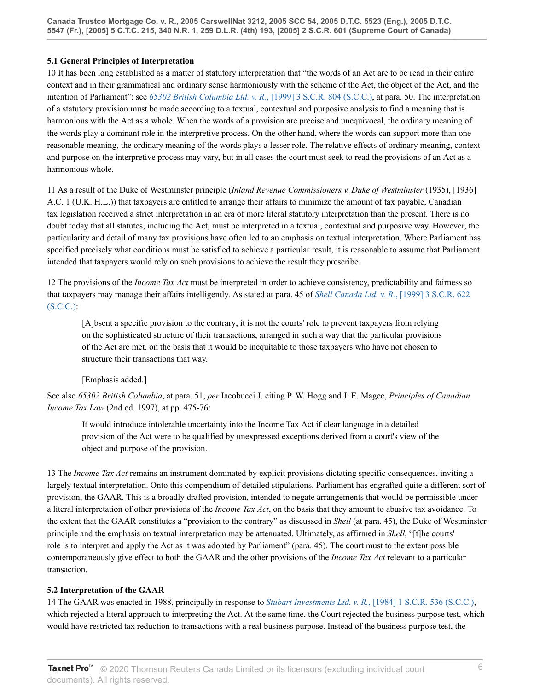# **5.1 General Principles of Interpretation**

10 It has been long established as a matter of statutory interpretation that "the words of an Act are to be read in their entire context and in their grammatical and ordinary sense harmoniously with the scheme of the Act, the object of the Act, and the intention of Parliament": see *[65302 British Columbia Ltd. v. R.](http://v3.taxnetpro.com/Document/I8d7d9393fba55dece0440003ba833f85/View/FullText.html?originationContext=document&vr=3.0&rs=cblt1.0&transitionType=DocumentItem&contextData=(sc.Search))*, [1999] 3 S.C.R. 804 (S.C.C.), at para. 50. The interpretation of a statutory provision must be made according to a textual, contextual and purposive analysis to find a meaning that is harmonious with the Act as a whole. When the words of a provision are precise and unequivocal, the ordinary meaning of the words play a dominant role in the interpretive process. On the other hand, where the words can support more than one reasonable meaning, the ordinary meaning of the words plays a lesser role. The relative effects of ordinary meaning, context and purpose on the interpretive process may vary, but in all cases the court must seek to read the provisions of an Act as a harmonious whole.

11 As a result of the Duke of Westminster principle (*Inland Revenue Commissioners v. Duke of Westminster* (1935), [1936] A.C. 1 (U.K. H.L.)) that taxpayers are entitled to arrange their affairs to minimize the amount of tax payable, Canadian tax legislation received a strict interpretation in an era of more literal statutory interpretation than the present. There is no doubt today that all statutes, including the Act, must be interpreted in a textual, contextual and purposive way. However, the particularity and detail of many tax provisions have often led to an emphasis on textual interpretation. Where Parliament has specified precisely what conditions must be satisfied to achieve a particular result, it is reasonable to assume that Parliament intended that taxpayers would rely on such provisions to achieve the result they prescribe.

12 The provisions of the *Income Tax Act* must be interpreted in order to achieve consistency, predictability and fairness so that taxpayers may manage their affairs intelligently. As stated at para. 45 of *[Shell Canada Ltd. v. R.](http://v3.taxnetpro.com/Document/I8d7d9393fbab5dece0440003ba833f85/View/FullText.html?originationContext=document&vr=3.0&rs=cblt1.0&transitionType=DocumentItem&contextData=(sc.Search))*, [1999] 3 S.C.R. 622 [\(S.C.C.\)](http://v3.taxnetpro.com/Document/I8d7d9393fbab5dece0440003ba833f85/View/FullText.html?originationContext=document&vr=3.0&rs=cblt1.0&transitionType=DocumentItem&contextData=(sc.Search)):

[A]bsent a specific provision to the contrary, it is not the courts' role to prevent taxpayers from relying on the sophisticated structure of their transactions, arranged in such a way that the particular provisions of the Act are met, on the basis that it would be inequitable to those taxpayers who have not chosen to structure their transactions that way.

[Emphasis added.]

See also *65302 British Columbia*, at para. 51, *per* Iacobucci J. citing P. W. Hogg and J. E. Magee, *Principles of Canadian Income Tax Law* (2nd ed. 1997), at pp. 475-76:

It would introduce intolerable uncertainty into the Income Tax Act if clear language in a detailed provision of the Act were to be qualified by unexpressed exceptions derived from a court's view of the object and purpose of the provision.

13 The *Income Tax Act* remains an instrument dominated by explicit provisions dictating specific consequences, inviting a largely textual interpretation. Onto this compendium of detailed stipulations, Parliament has engrafted quite a different sort of provision, the GAAR. This is a broadly drafted provision, intended to negate arrangements that would be permissible under a literal interpretation of other provisions of the *Income Tax Act*, on the basis that they amount to abusive tax avoidance. To the extent that the GAAR constitutes a "provision to the contrary" as discussed in *Shell* (at para. 45), the Duke of Westminster principle and the emphasis on textual interpretation may be attenuated. Ultimately, as affirmed in *Shell*, "[t]he courts' role is to interpret and apply the Act as it was adopted by Parliament" (para. 45). The court must to the extent possible contemporaneously give effect to both the GAAR and the other provisions of the *Income Tax Act* relevant to a particular transaction.

# **5.2 Interpretation of the GAAR**

14 The GAAR was enacted in 1988, principally in response to *Stubart Investments Ltd. v. R.*[, \[1984\] 1 S.C.R. 536 \(S.C.C.\),](http://v3.taxnetpro.com/Document/I8d7d939468ac5dece0440003ba833f85/View/FullText.html?originationContext=document&vr=3.0&rs=cblt1.0&transitionType=DocumentItem&contextData=(sc.Search)) which rejected a literal approach to interpreting the Act. At the same time, the Court rejected the business purpose test, which would have restricted tax reduction to transactions with a real business purpose. Instead of the business purpose test, the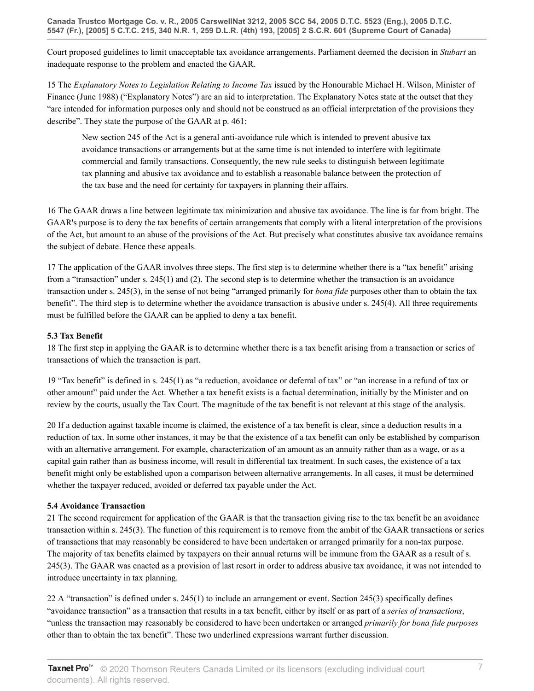Court proposed guidelines to limit unacceptable tax avoidance arrangements. Parliament deemed the decision in *Stubart* an inadequate response to the problem and enacted the GAAR.

15 The *Explanatory Notes to Legislation Relating to Income Tax* issued by the Honourable Michael H. Wilson, Minister of Finance (June 1988) ("Explanatory Notes") are an aid to interpretation. The Explanatory Notes state at the outset that they "are intended for information purposes only and should not be construed as an official interpretation of the provisions they describe". They state the purpose of the GAAR at p. 461:

New section 245 of the Act is a general anti-avoidance rule which is intended to prevent abusive tax avoidance transactions or arrangements but at the same time is not intended to interfere with legitimate commercial and family transactions. Consequently, the new rule seeks to distinguish between legitimate tax planning and abusive tax avoidance and to establish a reasonable balance between the protection of the tax base and the need for certainty for taxpayers in planning their affairs.

16 The GAAR draws a line between legitimate tax minimization and abusive tax avoidance. The line is far from bright. The GAAR's purpose is to deny the tax benefits of certain arrangements that comply with a literal interpretation of the provisions of the Act, but amount to an abuse of the provisions of the Act. But precisely what constitutes abusive tax avoidance remains the subject of debate. Hence these appeals.

17 The application of the GAAR involves three steps. The first step is to determine whether there is a "tax benefit" arising from a "transaction" under s. 245(1) and (2). The second step is to determine whether the transaction is an avoidance transaction under s. 245(3), in the sense of not being "arranged primarily for *bona fide* purposes other than to obtain the tax benefit". The third step is to determine whether the avoidance transaction is abusive under s. 245(4). All three requirements must be fulfilled before the GAAR can be applied to deny a tax benefit.

# **5.3 Tax Benefit**

18 The first step in applying the GAAR is to determine whether there is a tax benefit arising from a transaction or series of transactions of which the transaction is part.

19 "Tax benefit" is defined in s. 245(1) as "a reduction, avoidance or deferral of tax" or "an increase in a refund of tax or other amount" paid under the Act. Whether a tax benefit exists is a factual determination, initially by the Minister and on review by the courts, usually the Tax Court. The magnitude of the tax benefit is not relevant at this stage of the analysis.

20 If a deduction against taxable income is claimed, the existence of a tax benefit is clear, since a deduction results in a reduction of tax. In some other instances, it may be that the existence of a tax benefit can only be established by comparison with an alternative arrangement. For example, characterization of an amount as an annuity rather than as a wage, or as a capital gain rather than as business income, will result in differential tax treatment. In such cases, the existence of a tax benefit might only be established upon a comparison between alternative arrangements. In all cases, it must be determined whether the taxpayer reduced, avoided or deferred tax payable under the Act.

# **5.4 Avoidance Transaction**

21 The second requirement for application of the GAAR is that the transaction giving rise to the tax benefit be an avoidance transaction within s. 245(3). The function of this requirement is to remove from the ambit of the GAAR transactions or series of transactions that may reasonably be considered to have been undertaken or arranged primarily for a non-tax purpose. The majority of tax benefits claimed by taxpayers on their annual returns will be immune from the GAAR as a result of s. 245(3). The GAAR was enacted as a provision of last resort in order to address abusive tax avoidance, it was not intended to introduce uncertainty in tax planning.

22 A "transaction" is defined under s. 245(1) to include an arrangement or event. Section 245(3) specifically defines "avoidance transaction" as a transaction that results in a tax benefit, either by itself or as part of a *series of transactions*, "unless the transaction may reasonably be considered to have been undertaken or arranged *primarily for bona fide purposes* other than to obtain the tax benefit". These two underlined expressions warrant further discussion.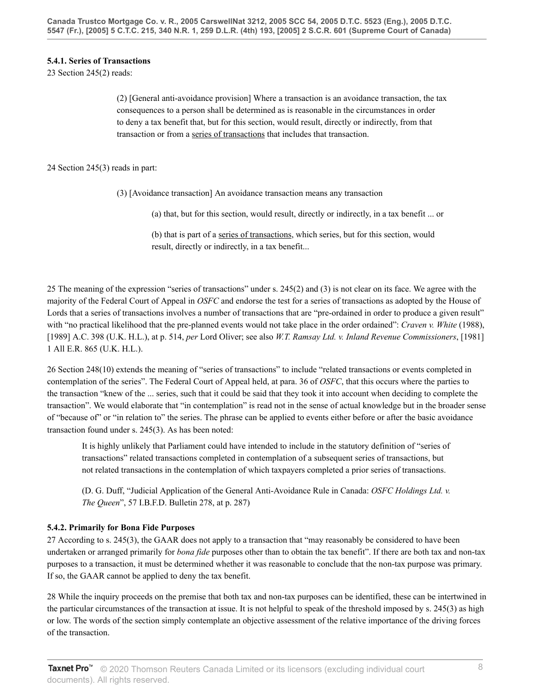### **5.4.1. Series of Transactions**

23 Section 245(2) reads:

(2) [General anti-avoidance provision] Where a transaction is an avoidance transaction, the tax consequences to a person shall be determined as is reasonable in the circumstances in order to deny a tax benefit that, but for this section, would result, directly or indirectly, from that transaction or from a series of transactions that includes that transaction.

24 Section 245(3) reads in part:

(3) [Avoidance transaction] An avoidance transaction means any transaction

(a) that, but for this section, would result, directly or indirectly, in a tax benefit ... or

(b) that is part of a series of transactions, which series, but for this section, would result, directly or indirectly, in a tax benefit...

25 The meaning of the expression "series of transactions" under s. 245(2) and (3) is not clear on its face. We agree with the majority of the Federal Court of Appeal in *OSFC* and endorse the test for a series of transactions as adopted by the House of Lords that a series of transactions involves a number of transactions that are "pre-ordained in order to produce a given result" with "no practical likelihood that the pre-planned events would not take place in the order ordained": *Craven v. White* (1988), [1989] A.C. 398 (U.K. H.L.), at p. 514, *per* Lord Oliver; see also *W.T. Ramsay Ltd. v. Inland Revenue Commissioners*, [1981] 1 All E.R. 865 (U.K. H.L.).

26 Section 248(10) extends the meaning of "series of transactions" to include "related transactions or events completed in contemplation of the series". The Federal Court of Appeal held, at para. 36 of *OSFC*, that this occurs where the parties to the transaction "knew of the ... series, such that it could be said that they took it into account when deciding to complete the transaction". We would elaborate that "in contemplation" is read not in the sense of actual knowledge but in the broader sense of "because of" or "in relation to" the series. The phrase can be applied to events either before or after the basic avoidance transaction found under s. 245(3). As has been noted:

It is highly unlikely that Parliament could have intended to include in the statutory definition of "series of transactions" related transactions completed in contemplation of a subsequent series of transactions, but not related transactions in the contemplation of which taxpayers completed a prior series of transactions.

(D. G. Duff, "Judicial Application of the General Anti-Avoidance Rule in Canada: *OSFC Holdings Ltd. v. The Queen*", 57 I.B.F.D. Bulletin 278, at p. 287)

# **5.4.2. Primarily for Bona Fide Purposes**

27 According to s. 245(3), the GAAR does not apply to a transaction that "may reasonably be considered to have been undertaken or arranged primarily for *bona fide* purposes other than to obtain the tax benefit". If there are both tax and non-tax purposes to a transaction, it must be determined whether it was reasonable to conclude that the non-tax purpose was primary. If so, the GAAR cannot be applied to deny the tax benefit.

28 While the inquiry proceeds on the premise that both tax and non-tax purposes can be identified, these can be intertwined in the particular circumstances of the transaction at issue. It is not helpful to speak of the threshold imposed by s. 245(3) as high or low. The words of the section simply contemplate an objective assessment of the relative importance of the driving forces of the transaction.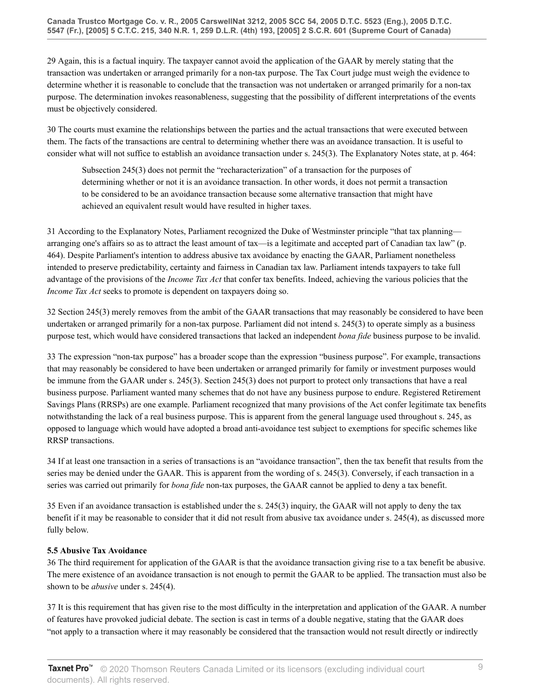29 Again, this is a factual inquiry. The taxpayer cannot avoid the application of the GAAR by merely stating that the transaction was undertaken or arranged primarily for a non-tax purpose. The Tax Court judge must weigh the evidence to determine whether it is reasonable to conclude that the transaction was not undertaken or arranged primarily for a non-tax purpose. The determination invokes reasonableness, suggesting that the possibility of different interpretations of the events must be objectively considered.

30 The courts must examine the relationships between the parties and the actual transactions that were executed between them. The facts of the transactions are central to determining whether there was an avoidance transaction. It is useful to consider what will not suffice to establish an avoidance transaction under s. 245(3). The Explanatory Notes state, at p. 464:

Subsection 245(3) does not permit the "recharacterization" of a transaction for the purposes of determining whether or not it is an avoidance transaction. In other words, it does not permit a transaction to be considered to be an avoidance transaction because some alternative transaction that might have achieved an equivalent result would have resulted in higher taxes.

31 According to the Explanatory Notes, Parliament recognized the Duke of Westminster principle "that tax planning arranging one's affairs so as to attract the least amount of tax—is a legitimate and accepted part of Canadian tax law" (p. 464). Despite Parliament's intention to address abusive tax avoidance by enacting the GAAR, Parliament nonetheless intended to preserve predictability, certainty and fairness in Canadian tax law. Parliament intends taxpayers to take full advantage of the provisions of the *Income Tax Act* that confer tax benefits. Indeed, achieving the various policies that the *Income Tax Act* seeks to promote is dependent on taxpayers doing so.

32 Section 245(3) merely removes from the ambit of the GAAR transactions that may reasonably be considered to have been undertaken or arranged primarily for a non-tax purpose. Parliament did not intend s. 245(3) to operate simply as a business purpose test, which would have considered transactions that lacked an independent *bona fide* business purpose to be invalid.

33 The expression "non-tax purpose" has a broader scope than the expression "business purpose". For example, transactions that may reasonably be considered to have been undertaken or arranged primarily for family or investment purposes would be immune from the GAAR under s. 245(3). Section 245(3) does not purport to protect only transactions that have a real business purpose. Parliament wanted many schemes that do not have any business purpose to endure. Registered Retirement Savings Plans (RRSPs) are one example. Parliament recognized that many provisions of the Act confer legitimate tax benefits notwithstanding the lack of a real business purpose. This is apparent from the general language used throughout s. 245, as opposed to language which would have adopted a broad anti-avoidance test subject to exemptions for specific schemes like RRSP transactions.

34 If at least one transaction in a series of transactions is an "avoidance transaction", then the tax benefit that results from the series may be denied under the GAAR. This is apparent from the wording of s. 245(3). Conversely, if each transaction in a series was carried out primarily for *bona fide* non-tax purposes, the GAAR cannot be applied to deny a tax benefit.

35 Even if an avoidance transaction is established under the s. 245(3) inquiry, the GAAR will not apply to deny the tax benefit if it may be reasonable to consider that it did not result from abusive tax avoidance under s. 245(4), as discussed more fully below.

# **5.5 Abusive Tax Avoidance**

36 The third requirement for application of the GAAR is that the avoidance transaction giving rise to a tax benefit be abusive. The mere existence of an avoidance transaction is not enough to permit the GAAR to be applied. The transaction must also be shown to be *abusive* under s. 245(4).

37 It is this requirement that has given rise to the most difficulty in the interpretation and application of the GAAR. A number of features have provoked judicial debate. The section is cast in terms of a double negative, stating that the GAAR does "not apply to a transaction where it may reasonably be considered that the transaction would not result directly or indirectly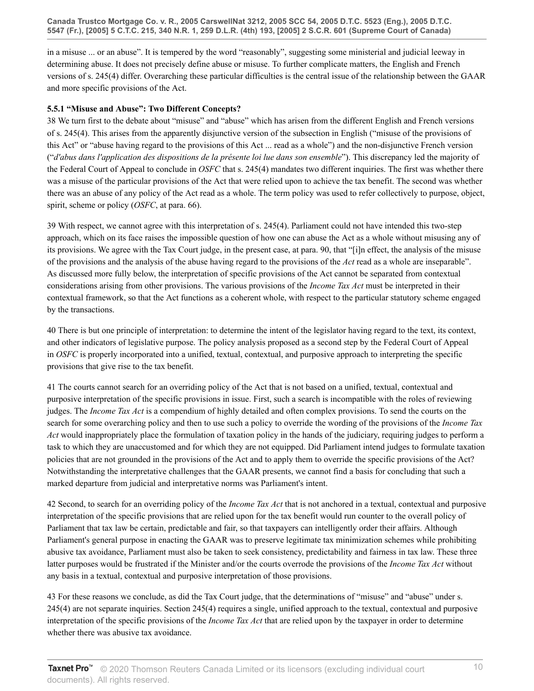in a misuse ... or an abuse". It is tempered by the word "reasonably", suggesting some ministerial and judicial leeway in determining abuse. It does not precisely define abuse or misuse. To further complicate matters, the English and French versions of s. 245(4) differ. Overarching these particular difficulties is the central issue of the relationship between the GAAR and more specific provisions of the Act.

## **5.5.1 "Misuse and Abuse": Two Different Concepts?**

38 We turn first to the debate about "misuse" and "abuse" which has arisen from the different English and French versions of s. 245(4). This arises from the apparently disjunctive version of the subsection in English ("misuse of the provisions of this Act" or "abuse having regard to the provisions of this Act ... read as a whole") and the non-disjunctive French version ("*d'abus dans l'application des dispositions de la présente loi lue dans son ensemble*"). This discrepancy led the majority of the Federal Court of Appeal to conclude in *OSFC* that s. 245(4) mandates two different inquiries. The first was whether there was a misuse of the particular provisions of the Act that were relied upon to achieve the tax benefit. The second was whether there was an abuse of any policy of the Act read as a whole. The term policy was used to refer collectively to purpose, object, spirit, scheme or policy (*OSFC*, at para. 66).

39 With respect, we cannot agree with this interpretation of s. 245(4). Parliament could not have intended this two-step approach, which on its face raises the impossible question of how one can abuse the Act as a whole without misusing any of its provisions. We agree with the Tax Court judge, in the present case, at para. 90, that "[i]n effect, the analysis of the misuse of the provisions and the analysis of the abuse having regard to the provisions of the *Act* read as a whole are inseparable". As discussed more fully below, the interpretation of specific provisions of the Act cannot be separated from contextual considerations arising from other provisions. The various provisions of the *Income Tax Act* must be interpreted in their contextual framework, so that the Act functions as a coherent whole, with respect to the particular statutory scheme engaged by the transactions.

40 There is but one principle of interpretation: to determine the intent of the legislator having regard to the text, its context, and other indicators of legislative purpose. The policy analysis proposed as a second step by the Federal Court of Appeal in *OSFC* is properly incorporated into a unified, textual, contextual, and purposive approach to interpreting the specific provisions that give rise to the tax benefit.

41 The courts cannot search for an overriding policy of the Act that is not based on a unified, textual, contextual and purposive interpretation of the specific provisions in issue. First, such a search is incompatible with the roles of reviewing judges. The *Income Tax Act* is a compendium of highly detailed and often complex provisions. To send the courts on the search for some overarching policy and then to use such a policy to override the wording of the provisions of the *Income Tax Act* would inappropriately place the formulation of taxation policy in the hands of the judiciary, requiring judges to perform a task to which they are unaccustomed and for which they are not equipped. Did Parliament intend judges to formulate taxation policies that are not grounded in the provisions of the Act and to apply them to override the specific provisions of the Act? Notwithstanding the interpretative challenges that the GAAR presents, we cannot find a basis for concluding that such a marked departure from judicial and interpretative norms was Parliament's intent.

42 Second, to search for an overriding policy of the *Income Tax Act* that is not anchored in a textual, contextual and purposive interpretation of the specific provisions that are relied upon for the tax benefit would run counter to the overall policy of Parliament that tax law be certain, predictable and fair, so that taxpayers can intelligently order their affairs. Although Parliament's general purpose in enacting the GAAR was to preserve legitimate tax minimization schemes while prohibiting abusive tax avoidance, Parliament must also be taken to seek consistency, predictability and fairness in tax law. These three latter purposes would be frustrated if the Minister and/or the courts overrode the provisions of the *Income Tax Act* without any basis in a textual, contextual and purposive interpretation of those provisions.

43 For these reasons we conclude, as did the Tax Court judge, that the determinations of "misuse" and "abuse" under s. 245(4) are not separate inquiries. Section 245(4) requires a single, unified approach to the textual, contextual and purposive interpretation of the specific provisions of the *Income Tax Act* that are relied upon by the taxpayer in order to determine whether there was abusive tax avoidance.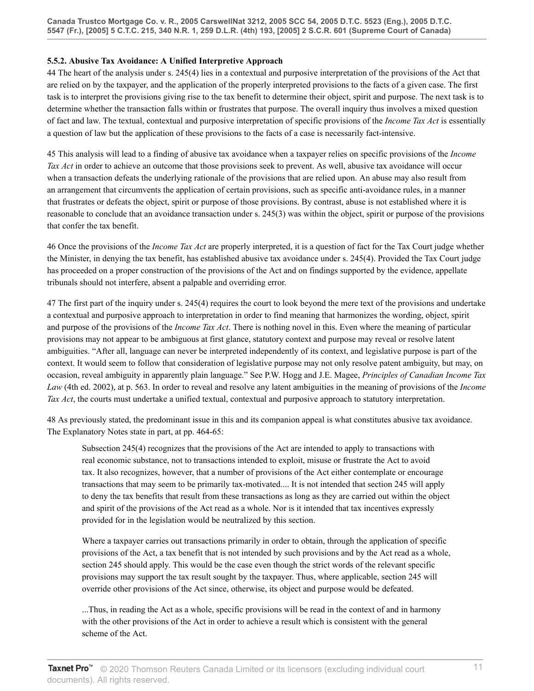## **5.5.2. Abusive Tax Avoidance: A Unified Interpretive Approach**

44 The heart of the analysis under s. 245(4) lies in a contextual and purposive interpretation of the provisions of the Act that are relied on by the taxpayer, and the application of the properly interpreted provisions to the facts of a given case. The first task is to interpret the provisions giving rise to the tax benefit to determine their object, spirit and purpose. The next task is to determine whether the transaction falls within or frustrates that purpose. The overall inquiry thus involves a mixed question of fact and law. The textual, contextual and purposive interpretation of specific provisions of the *Income Tax Act* is essentially a question of law but the application of these provisions to the facts of a case is necessarily fact-intensive.

45 This analysis will lead to a finding of abusive tax avoidance when a taxpayer relies on specific provisions of the *Income Tax Act* in order to achieve an outcome that those provisions seek to prevent. As well, abusive tax avoidance will occur when a transaction defeats the underlying rationale of the provisions that are relied upon. An abuse may also result from an arrangement that circumvents the application of certain provisions, such as specific anti-avoidance rules, in a manner that frustrates or defeats the object, spirit or purpose of those provisions. By contrast, abuse is not established where it is reasonable to conclude that an avoidance transaction under s. 245(3) was within the object, spirit or purpose of the provisions that confer the tax benefit.

46 Once the provisions of the *Income Tax Act* are properly interpreted, it is a question of fact for the Tax Court judge whether the Minister, in denying the tax benefit, has established abusive tax avoidance under s. 245(4). Provided the Tax Court judge has proceeded on a proper construction of the provisions of the Act and on findings supported by the evidence, appellate tribunals should not interfere, absent a palpable and overriding error.

47 The first part of the inquiry under s. 245(4) requires the court to look beyond the mere text of the provisions and undertake a contextual and purposive approach to interpretation in order to find meaning that harmonizes the wording, object, spirit and purpose of the provisions of the *Income Tax Act*. There is nothing novel in this. Even where the meaning of particular provisions may not appear to be ambiguous at first glance, statutory context and purpose may reveal or resolve latent ambiguities. "After all, language can never be interpreted independently of its context, and legislative purpose is part of the context. It would seem to follow that consideration of legislative purpose may not only resolve patent ambiguity, but may, on occasion, reveal ambiguity in apparently plain language." See P.W. Hogg and J.E. Magee, *Principles of Canadian Income Tax Law* (4th ed. 2002), at p. 563. In order to reveal and resolve any latent ambiguities in the meaning of provisions of the *Income Tax Act*, the courts must undertake a unified textual, contextual and purposive approach to statutory interpretation.

48 As previously stated, the predominant issue in this and its companion appeal is what constitutes abusive tax avoidance. The Explanatory Notes state in part, at pp. 464-65:

Subsection 245(4) recognizes that the provisions of the Act are intended to apply to transactions with real economic substance, not to transactions intended to exploit, misuse or frustrate the Act to avoid tax. It also recognizes, however, that a number of provisions of the Act either contemplate or encourage transactions that may seem to be primarily tax-motivated.... It is not intended that section 245 will apply to deny the tax benefits that result from these transactions as long as they are carried out within the object and spirit of the provisions of the Act read as a whole. Nor is it intended that tax incentives expressly provided for in the legislation would be neutralized by this section.

Where a taxpayer carries out transactions primarily in order to obtain, through the application of specific provisions of the Act, a tax benefit that is not intended by such provisions and by the Act read as a whole, section 245 should apply. This would be the case even though the strict words of the relevant specific provisions may support the tax result sought by the taxpayer. Thus, where applicable, section 245 will override other provisions of the Act since, otherwise, its object and purpose would be defeated.

...Thus, in reading the Act as a whole, specific provisions will be read in the context of and in harmony with the other provisions of the Act in order to achieve a result which is consistent with the general scheme of the Act.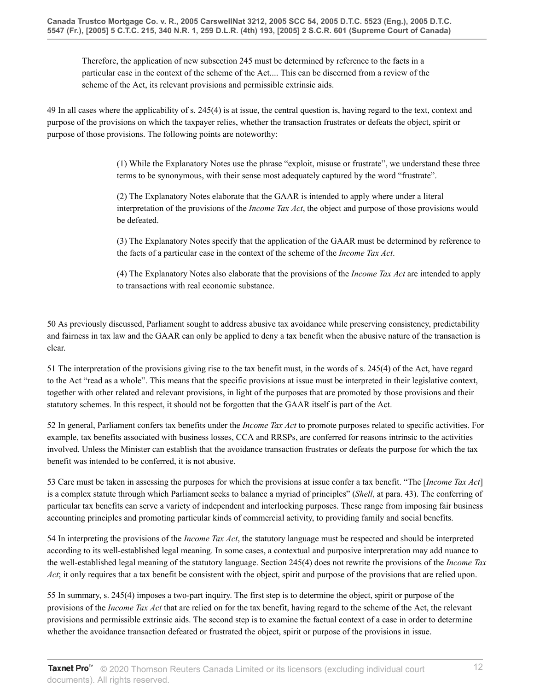Therefore, the application of new subsection 245 must be determined by reference to the facts in a particular case in the context of the scheme of the Act.... This can be discerned from a review of the scheme of the Act, its relevant provisions and permissible extrinsic aids.

49 In all cases where the applicability of s. 245(4) is at issue, the central question is, having regard to the text, context and purpose of the provisions on which the taxpayer relies, whether the transaction frustrates or defeats the object, spirit or purpose of those provisions. The following points are noteworthy:

> (1) While the Explanatory Notes use the phrase "exploit, misuse or frustrate", we understand these three terms to be synonymous, with their sense most adequately captured by the word "frustrate".

> (2) The Explanatory Notes elaborate that the GAAR is intended to apply where under a literal interpretation of the provisions of the *Income Tax Act*, the object and purpose of those provisions would be defeated.

> (3) The Explanatory Notes specify that the application of the GAAR must be determined by reference to the facts of a particular case in the context of the scheme of the *Income Tax Act*.

> (4) The Explanatory Notes also elaborate that the provisions of the *Income Tax Act* are intended to apply to transactions with real economic substance.

50 As previously discussed, Parliament sought to address abusive tax avoidance while preserving consistency, predictability and fairness in tax law and the GAAR can only be applied to deny a tax benefit when the abusive nature of the transaction is clear.

51 The interpretation of the provisions giving rise to the tax benefit must, in the words of s. 245(4) of the Act, have regard to the Act "read as a whole". This means that the specific provisions at issue must be interpreted in their legislative context, together with other related and relevant provisions, in light of the purposes that are promoted by those provisions and their statutory schemes. In this respect, it should not be forgotten that the GAAR itself is part of the Act.

52 In general, Parliament confers tax benefits under the *Income Tax Act* to promote purposes related to specific activities. For example, tax benefits associated with business losses, CCA and RRSPs, are conferred for reasons intrinsic to the activities involved. Unless the Minister can establish that the avoidance transaction frustrates or defeats the purpose for which the tax benefit was intended to be conferred, it is not abusive.

53 Care must be taken in assessing the purposes for which the provisions at issue confer a tax benefit. "The [*Income Tax Act*] is a complex statute through which Parliament seeks to balance a myriad of principles" (*Shell*, at para. 43). The conferring of particular tax benefits can serve a variety of independent and interlocking purposes. These range from imposing fair business accounting principles and promoting particular kinds of commercial activity, to providing family and social benefits.

54 In interpreting the provisions of the *Income Tax Act*, the statutory language must be respected and should be interpreted according to its well-established legal meaning. In some cases, a contextual and purposive interpretation may add nuance to the well-established legal meaning of the statutory language. Section 245(4) does not rewrite the provisions of the *Income Tax Act*; it only requires that a tax benefit be consistent with the object, spirit and purpose of the provisions that are relied upon.

55 In summary, s. 245(4) imposes a two-part inquiry. The first step is to determine the object, spirit or purpose of the provisions of the *Income Tax Act* that are relied on for the tax benefit, having regard to the scheme of the Act, the relevant provisions and permissible extrinsic aids. The second step is to examine the factual context of a case in order to determine whether the avoidance transaction defeated or frustrated the object, spirit or purpose of the provisions in issue.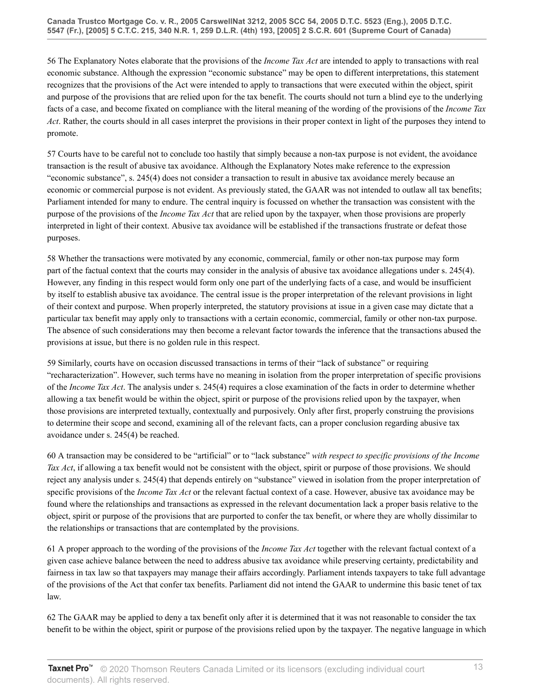56 The Explanatory Notes elaborate that the provisions of the *Income Tax Act* are intended to apply to transactions with real economic substance. Although the expression "economic substance" may be open to different interpretations, this statement recognizes that the provisions of the Act were intended to apply to transactions that were executed within the object, spirit and purpose of the provisions that are relied upon for the tax benefit. The courts should not turn a blind eye to the underlying facts of a case, and become fixated on compliance with the literal meaning of the wording of the provisions of the *Income Tax Act*. Rather, the courts should in all cases interpret the provisions in their proper context in light of the purposes they intend to promote.

57 Courts have to be careful not to conclude too hastily that simply because a non-tax purpose is not evident, the avoidance transaction is the result of abusive tax avoidance. Although the Explanatory Notes make reference to the expression "economic substance", s. 245(4) does not consider a transaction to result in abusive tax avoidance merely because an economic or commercial purpose is not evident. As previously stated, the GAAR was not intended to outlaw all tax benefits; Parliament intended for many to endure. The central inquiry is focussed on whether the transaction was consistent with the purpose of the provisions of the *Income Tax Act* that are relied upon by the taxpayer, when those provisions are properly interpreted in light of their context. Abusive tax avoidance will be established if the transactions frustrate or defeat those purposes.

58 Whether the transactions were motivated by any economic, commercial, family or other non-tax purpose may form part of the factual context that the courts may consider in the analysis of abusive tax avoidance allegations under s. 245(4). However, any finding in this respect would form only one part of the underlying facts of a case, and would be insufficient by itself to establish abusive tax avoidance. The central issue is the proper interpretation of the relevant provisions in light of their context and purpose. When properly interpreted, the statutory provisions at issue in a given case may dictate that a particular tax benefit may apply only to transactions with a certain economic, commercial, family or other non-tax purpose. The absence of such considerations may then become a relevant factor towards the inference that the transactions abused the provisions at issue, but there is no golden rule in this respect.

59 Similarly, courts have on occasion discussed transactions in terms of their "lack of substance" or requiring "recharacterization". However, such terms have no meaning in isolation from the proper interpretation of specific provisions of the *Income Tax Act*. The analysis under s. 245(4) requires a close examination of the facts in order to determine whether allowing a tax benefit would be within the object, spirit or purpose of the provisions relied upon by the taxpayer, when those provisions are interpreted textually, contextually and purposively. Only after first, properly construing the provisions to determine their scope and second, examining all of the relevant facts, can a proper conclusion regarding abusive tax avoidance under s. 245(4) be reached.

60 A transaction may be considered to be "artificial" or to "lack substance" *with respect to specific provisions of the Income Tax Act*, if allowing a tax benefit would not be consistent with the object, spirit or purpose of those provisions. We should reject any analysis under s. 245(4) that depends entirely on "substance" viewed in isolation from the proper interpretation of specific provisions of the *Income Tax Act* or the relevant factual context of a case. However, abusive tax avoidance may be found where the relationships and transactions as expressed in the relevant documentation lack a proper basis relative to the object, spirit or purpose of the provisions that are purported to confer the tax benefit, or where they are wholly dissimilar to the relationships or transactions that are contemplated by the provisions.

61 A proper approach to the wording of the provisions of the *Income Tax Act* together with the relevant factual context of a given case achieve balance between the need to address abusive tax avoidance while preserving certainty, predictability and fairness in tax law so that taxpayers may manage their affairs accordingly. Parliament intends taxpayers to take full advantage of the provisions of the Act that confer tax benefits. Parliament did not intend the GAAR to undermine this basic tenet of tax law.

62 The GAAR may be applied to deny a tax benefit only after it is determined that it was not reasonable to consider the tax benefit to be within the object, spirit or purpose of the provisions relied upon by the taxpayer. The negative language in which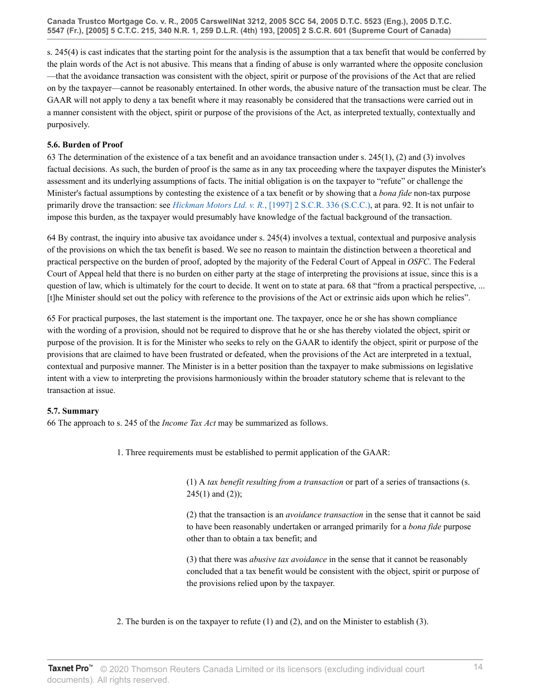s. 245(4) is cast indicates that the starting point for the analysis is the assumption that a tax benefit that would be conferred by the plain words of the Act is not abusive. This means that a finding of abuse is only warranted where the opposite conclusion —that the avoidance transaction was consistent with the object, spirit or purpose of the provisions of the Act that are relied on by the taxpayer—cannot be reasonably entertained. In other words, the abusive nature of the transaction must be clear. The GAAR will not apply to deny a tax benefit where it may reasonably be considered that the transactions were carried out in a manner consistent with the object, spirit or purpose of the provisions of the Act, as interpreted textually, contextually and purposively.

# **5.6. Burden of Proof**

63 The determination of the existence of a tax benefit and an avoidance transaction under s. 245(1), (2) and (3) involves factual decisions. As such, the burden of proof is the same as in any tax proceeding where the taxpayer disputes the Minister's assessment and its underlying assumptions of facts. The initial obligation is on the taxpayer to "refute" or challenge the Minister's factual assumptions by contesting the existence of a tax benefit or by showing that a *bona fide* non-tax purpose primarily drove the transaction: see *Hickman Motors Ltd. v. R.*[, \[1997\] 2 S.C.R. 336 \(S.C.C.\),](http://v3.taxnetpro.com/Document/I8d7d939412e15dece0440003ba833f85/View/FullText.html?originationContext=document&vr=3.0&rs=cblt1.0&transitionType=DocumentItem&contextData=(sc.Search)) at para. 92. It is not unfair to impose this burden, as the taxpayer would presumably have knowledge of the factual background of the transaction.

64 By contrast, the inquiry into abusive tax avoidance under s. 245(4) involves a textual, contextual and purposive analysis of the provisions on which the tax benefit is based. We see no reason to maintain the distinction between a theoretical and practical perspective on the burden of proof, adopted by the majority of the Federal Court of Appeal in *OSFC*. The Federal Court of Appeal held that there is no burden on either party at the stage of interpreting the provisions at issue, since this is a question of law, which is ultimately for the court to decide. It went on to state at para. 68 that "from a practical perspective, ... [t]he Minister should set out the policy with reference to the provisions of the Act or extrinsic aids upon which he relies".

65 For practical purposes, the last statement is the important one. The taxpayer, once he or she has shown compliance with the wording of a provision, should not be required to disprove that he or she has thereby violated the object, spirit or purpose of the provision. It is for the Minister who seeks to rely on the GAAR to identify the object, spirit or purpose of the provisions that are claimed to have been frustrated or defeated, when the provisions of the Act are interpreted in a textual, contextual and purposive manner. The Minister is in a better position than the taxpayer to make submissions on legislative intent with a view to interpreting the provisions harmoniously within the broader statutory scheme that is relevant to the transaction at issue.

# **5.7. Summary**

66 The approach to s. 245 of the *Income Tax Act* may be summarized as follows.

1. Three requirements must be established to permit application of the GAAR:

(1) A *tax benefit resulting from a transaction* or part of a series of transactions (s.  $245(1)$  and  $(2)$ ;

(2) that the transaction is an *avoidance transaction* in the sense that it cannot be said to have been reasonably undertaken or arranged primarily for a *bona fide* purpose other than to obtain a tax benefit; and

(3) that there was *abusive tax avoidance* in the sense that it cannot be reasonably concluded that a tax benefit would be consistent with the object, spirit or purpose of the provisions relied upon by the taxpayer.

2. The burden is on the taxpayer to refute (1) and (2), and on the Minister to establish (3).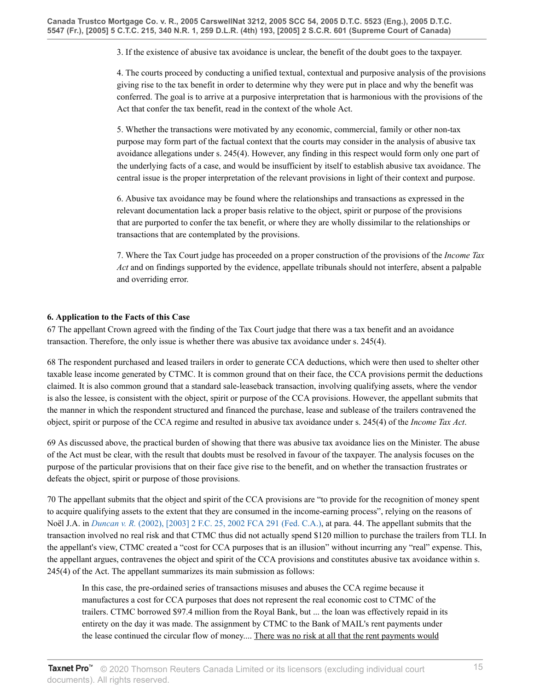3. If the existence of abusive tax avoidance is unclear, the benefit of the doubt goes to the taxpayer.

4. The courts proceed by conducting a unified textual, contextual and purposive analysis of the provisions giving rise to the tax benefit in order to determine why they were put in place and why the benefit was conferred. The goal is to arrive at a purposive interpretation that is harmonious with the provisions of the Act that confer the tax benefit, read in the context of the whole Act.

5. Whether the transactions were motivated by any economic, commercial, family or other non-tax purpose may form part of the factual context that the courts may consider in the analysis of abusive tax avoidance allegations under s. 245(4). However, any finding in this respect would form only one part of the underlying facts of a case, and would be insufficient by itself to establish abusive tax avoidance. The central issue is the proper interpretation of the relevant provisions in light of their context and purpose.

6. Abusive tax avoidance may be found where the relationships and transactions as expressed in the relevant documentation lack a proper basis relative to the object, spirit or purpose of the provisions that are purported to confer the tax benefit, or where they are wholly dissimilar to the relationships or transactions that are contemplated by the provisions.

7. Where the Tax Court judge has proceeded on a proper construction of the provisions of the *Income Tax Act* and on findings supported by the evidence, appellate tribunals should not interfere, absent a palpable and overriding error.

### **6. Application to the Facts of this Case**

67 The appellant Crown agreed with the finding of the Tax Court judge that there was a tax benefit and an avoidance transaction. Therefore, the only issue is whether there was abusive tax avoidance under s. 245(4).

68 The respondent purchased and leased trailers in order to generate CCA deductions, which were then used to shelter other taxable lease income generated by CTMC. It is common ground that on their face, the CCA provisions permit the deductions claimed. It is also common ground that a standard sale-leaseback transaction, involving qualifying assets, where the vendor is also the lessee, is consistent with the object, spirit or purpose of the CCA provisions. However, the appellant submits that the manner in which the respondent structured and financed the purchase, lease and sublease of the trailers contravened the object, spirit or purpose of the CCA regime and resulted in abusive tax avoidance under s. 245(4) of the *Income Tax Act*.

69 As discussed above, the practical burden of showing that there was abusive tax avoidance lies on the Minister. The abuse of the Act must be clear, with the result that doubts must be resolved in favour of the taxpayer. The analysis focuses on the purpose of the particular provisions that on their face give rise to the benefit, and on whether the transaction frustrates or defeats the object, spirit or purpose of those provisions.

70 The appellant submits that the object and spirit of the CCA provisions are "to provide for the recognition of money spent to acquire qualifying assets to the extent that they are consumed in the income-earning process", relying on the reasons of Noël J.A. in *Duncan v. R.* [\(2002\), \[2003\] 2 F.C. 25, 2002 FCA 291 \(Fed. C.A.\)](http://v3.taxnetpro.com/Document/I8d7d9393d13b5dece0440003ba833f85/View/FullText.html?originationContext=document&vr=3.0&rs=cblt1.0&transitionType=DocumentItem&contextData=(sc.Search)), at para. 44. The appellant submits that the transaction involved no real risk and that CTMC thus did not actually spend \$120 million to purchase the trailers from TLI. In the appellant's view, CTMC created a "cost for CCA purposes that is an illusion" without incurring any "real" expense. This, the appellant argues, contravenes the object and spirit of the CCA provisions and constitutes abusive tax avoidance within s. 245(4) of the Act. The appellant summarizes its main submission as follows:

In this case, the pre-ordained series of transactions misuses and abuses the CCA regime because it manufactures a cost for CCA purposes that does not represent the real economic cost to CTMC of the trailers. CTMC borrowed \$97.4 million from the Royal Bank, but ... the loan was effectively repaid in its entirety on the day it was made. The assignment by CTMC to the Bank of MAIL's rent payments under the lease continued the circular flow of money.... There was no risk at all that the rent payments would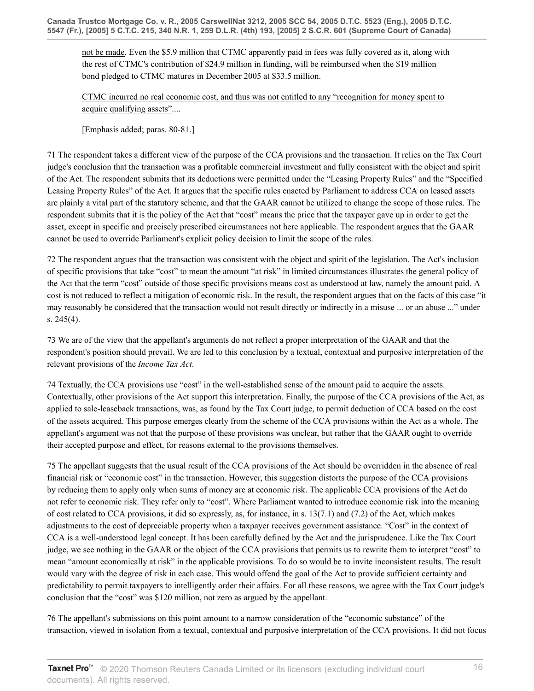not be made. Even the \$5.9 million that CTMC apparently paid in fees was fully covered as it, along with the rest of CTMC's contribution of \$24.9 million in funding, will be reimbursed when the \$19 million bond pledged to CTMC matures in December 2005 at \$33.5 million.

CTMC incurred no real economic cost, and thus was not entitled to any "recognition for money spent to acquire qualifying assets"....

[Emphasis added; paras. 80-81.]

71 The respondent takes a different view of the purpose of the CCA provisions and the transaction. It relies on the Tax Court judge's conclusion that the transaction was a profitable commercial investment and fully consistent with the object and spirit of the Act. The respondent submits that its deductions were permitted under the "Leasing Property Rules" and the "Specified Leasing Property Rules" of the Act. It argues that the specific rules enacted by Parliament to address CCA on leased assets are plainly a vital part of the statutory scheme, and that the GAAR cannot be utilized to change the scope of those rules. The respondent submits that it is the policy of the Act that "cost" means the price that the taxpayer gave up in order to get the asset, except in specific and precisely prescribed circumstances not here applicable. The respondent argues that the GAAR cannot be used to override Parliament's explicit policy decision to limit the scope of the rules.

72 The respondent argues that the transaction was consistent with the object and spirit of the legislation. The Act's inclusion of specific provisions that take "cost" to mean the amount "at risk" in limited circumstances illustrates the general policy of the Act that the term "cost" outside of those specific provisions means cost as understood at law, namely the amount paid. A cost is not reduced to reflect a mitigation of economic risk. In the result, the respondent argues that on the facts of this case "it may reasonably be considered that the transaction would not result directly or indirectly in a misuse ... or an abuse ..." under s. 245(4).

73 We are of the view that the appellant's arguments do not reflect a proper interpretation of the GAAR and that the respondent's position should prevail. We are led to this conclusion by a textual, contextual and purposive interpretation of the relevant provisions of the *Income Tax Act*.

74 Textually, the CCA provisions use "cost" in the well-established sense of the amount paid to acquire the assets. Contextually, other provisions of the Act support this interpretation. Finally, the purpose of the CCA provisions of the Act, as applied to sale-leaseback transactions, was, as found by the Tax Court judge, to permit deduction of CCA based on the cost of the assets acquired. This purpose emerges clearly from the scheme of the CCA provisions within the Act as a whole. The appellant's argument was not that the purpose of these provisions was unclear, but rather that the GAAR ought to override their accepted purpose and effect, for reasons external to the provisions themselves.

75 The appellant suggests that the usual result of the CCA provisions of the Act should be overridden in the absence of real financial risk or "economic cost" in the transaction. However, this suggestion distorts the purpose of the CCA provisions by reducing them to apply only when sums of money are at economic risk. The applicable CCA provisions of the Act do not refer to economic risk. They refer only to "cost". Where Parliament wanted to introduce economic risk into the meaning of cost related to CCA provisions, it did so expressly, as, for instance, in s. 13(7.1) and (7.2) of the Act, which makes adjustments to the cost of depreciable property when a taxpayer receives government assistance. "Cost" in the context of CCA is a well-understood legal concept. It has been carefully defined by the Act and the jurisprudence. Like the Tax Court judge, we see nothing in the GAAR or the object of the CCA provisions that permits us to rewrite them to interpret "cost" to mean "amount economically at risk" in the applicable provisions. To do so would be to invite inconsistent results. The result would vary with the degree of risk in each case. This would offend the goal of the Act to provide sufficient certainty and predictability to permit taxpayers to intelligently order their affairs. For all these reasons, we agree with the Tax Court judge's conclusion that the "cost" was \$120 million, not zero as argued by the appellant.

76 The appellant's submissions on this point amount to a narrow consideration of the "economic substance" of the transaction, viewed in isolation from a textual, contextual and purposive interpretation of the CCA provisions. It did not focus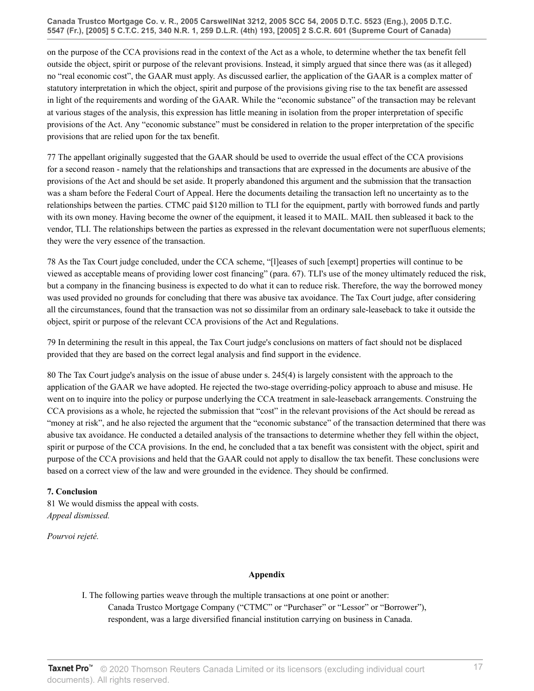on the purpose of the CCA provisions read in the context of the Act as a whole, to determine whether the tax benefit fell outside the object, spirit or purpose of the relevant provisions. Instead, it simply argued that since there was (as it alleged) no "real economic cost", the GAAR must apply. As discussed earlier, the application of the GAAR is a complex matter of statutory interpretation in which the object, spirit and purpose of the provisions giving rise to the tax benefit are assessed in light of the requirements and wording of the GAAR. While the "economic substance" of the transaction may be relevant at various stages of the analysis, this expression has little meaning in isolation from the proper interpretation of specific provisions of the Act. Any "economic substance" must be considered in relation to the proper interpretation of the specific provisions that are relied upon for the tax benefit.

77 The appellant originally suggested that the GAAR should be used to override the usual effect of the CCA provisions for a second reason - namely that the relationships and transactions that are expressed in the documents are abusive of the provisions of the Act and should be set aside. It properly abandoned this argument and the submission that the transaction was a sham before the Federal Court of Appeal. Here the documents detailing the transaction left no uncertainty as to the relationships between the parties. CTMC paid \$120 million to TLI for the equipment, partly with borrowed funds and partly with its own money. Having become the owner of the equipment, it leased it to MAIL. MAIL then subleased it back to the vendor, TLI. The relationships between the parties as expressed in the relevant documentation were not superfluous elements; they were the very essence of the transaction.

78 As the Tax Court judge concluded, under the CCA scheme, "[l]eases of such [exempt] properties will continue to be viewed as acceptable means of providing lower cost financing" (para. 67). TLI's use of the money ultimately reduced the risk, but a company in the financing business is expected to do what it can to reduce risk. Therefore, the way the borrowed money was used provided no grounds for concluding that there was abusive tax avoidance. The Tax Court judge, after considering all the circumstances, found that the transaction was not so dissimilar from an ordinary sale-leaseback to take it outside the object, spirit or purpose of the relevant CCA provisions of the Act and Regulations.

79 In determining the result in this appeal, the Tax Court judge's conclusions on matters of fact should not be displaced provided that they are based on the correct legal analysis and find support in the evidence.

80 The Tax Court judge's analysis on the issue of abuse under s. 245(4) is largely consistent with the approach to the application of the GAAR we have adopted. He rejected the two-stage overriding-policy approach to abuse and misuse. He went on to inquire into the policy or purpose underlying the CCA treatment in sale-leaseback arrangements. Construing the CCA provisions as a whole, he rejected the submission that "cost" in the relevant provisions of the Act should be reread as "money at risk", and he also rejected the argument that the "economic substance" of the transaction determined that there was abusive tax avoidance. He conducted a detailed analysis of the transactions to determine whether they fell within the object, spirit or purpose of the CCA provisions. In the end, he concluded that a tax benefit was consistent with the object, spirit and purpose of the CCA provisions and held that the GAAR could not apply to disallow the tax benefit. These conclusions were based on a correct view of the law and were grounded in the evidence. They should be confirmed.

# **7. Conclusion**

81 We would dismiss the appeal with costs. *Appeal dismissed.*

*Pourvoi rejeté.*

# **Appendix**

I. The following parties weave through the multiple transactions at one point or another: Canada Trustco Mortgage Company ("CTMC" or "Purchaser" or "Lessor" or "Borrower"), respondent, was a large diversified financial institution carrying on business in Canada.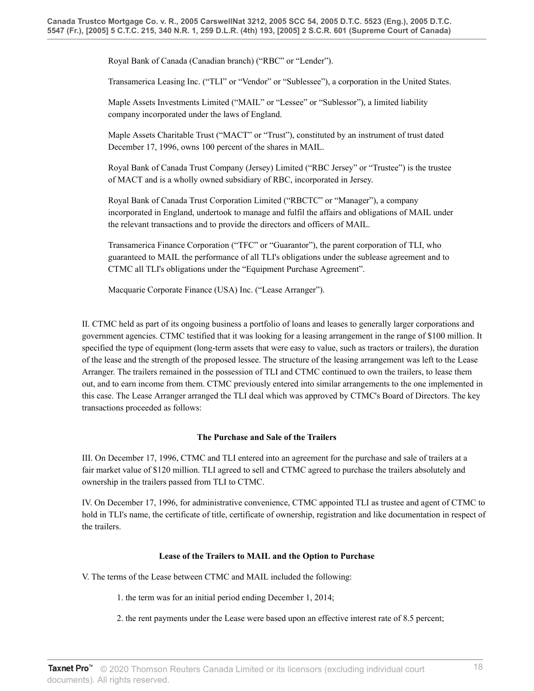Royal Bank of Canada (Canadian branch) ("RBC" or "Lender").

Transamerica Leasing Inc. ("TLI" or "Vendor" or "Sublessee"), a corporation in the United States.

Maple Assets Investments Limited ("MAIL" or "Lessee" or "Sublessor"), a limited liability company incorporated under the laws of England.

Maple Assets Charitable Trust ("MACT" or "Trust"), constituted by an instrument of trust dated December 17, 1996, owns 100 percent of the shares in MAIL.

Royal Bank of Canada Trust Company (Jersey) Limited ("RBC Jersey" or "Trustee") is the trustee of MACT and is a wholly owned subsidiary of RBC, incorporated in Jersey.

Royal Bank of Canada Trust Corporation Limited ("RBCTC" or "Manager"), a company incorporated in England, undertook to manage and fulfil the affairs and obligations of MAIL under the relevant transactions and to provide the directors and officers of MAIL.

Transamerica Finance Corporation ("TFC" or "Guarantor"), the parent corporation of TLI, who guaranteed to MAIL the performance of all TLI's obligations under the sublease agreement and to CTMC all TLI's obligations under the "Equipment Purchase Agreement".

Macquarie Corporate Finance (USA) Inc. ("Lease Arranger").

II. CTMC held as part of its ongoing business a portfolio of loans and leases to generally larger corporations and government agencies. CTMC testified that it was looking for a leasing arrangement in the range of \$100 million. It specified the type of equipment (long-term assets that were easy to value, such as tractors or trailers), the duration of the lease and the strength of the proposed lessee. The structure of the leasing arrangement was left to the Lease Arranger. The trailers remained in the possession of TLI and CTMC continued to own the trailers, to lease them out, and to earn income from them. CTMC previously entered into similar arrangements to the one implemented in this case. The Lease Arranger arranged the TLI deal which was approved by CTMC's Board of Directors. The key transactions proceeded as follows:

### **The Purchase and Sale of the Trailers**

III. On December 17, 1996, CTMC and TLI entered into an agreement for the purchase and sale of trailers at a fair market value of \$120 million. TLI agreed to sell and CTMC agreed to purchase the trailers absolutely and ownership in the trailers passed from TLI to CTMC.

IV. On December 17, 1996, for administrative convenience, CTMC appointed TLI as trustee and agent of CTMC to hold in TLI's name, the certificate of title, certificate of ownership, registration and like documentation in respect of the trailers.

# **Lease of the Trailers to MAIL and the Option to Purchase**

V. The terms of the Lease between CTMC and MAIL included the following:

1. the term was for an initial period ending December 1, 2014;

2. the rent payments under the Lease were based upon an effective interest rate of 8.5 percent;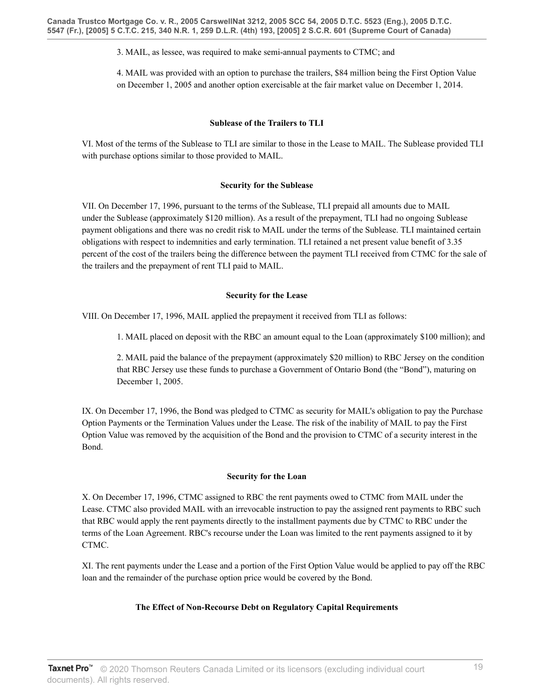3. MAIL, as lessee, was required to make semi-annual payments to CTMC; and

4. MAIL was provided with an option to purchase the trailers, \$84 million being the First Option Value on December 1, 2005 and another option exercisable at the fair market value on December 1, 2014.

## **Sublease of the Trailers to TLI**

VI. Most of the terms of the Sublease to TLI are similar to those in the Lease to MAIL. The Sublease provided TLI with purchase options similar to those provided to MAIL.

### **Security for the Sublease**

VII. On December 17, 1996, pursuant to the terms of the Sublease, TLI prepaid all amounts due to MAIL under the Sublease (approximately \$120 million). As a result of the prepayment, TLI had no ongoing Sublease payment obligations and there was no credit risk to MAIL under the terms of the Sublease. TLI maintained certain obligations with respect to indemnities and early termination. TLI retained a net present value benefit of 3.35 percent of the cost of the trailers being the difference between the payment TLI received from CTMC for the sale of the trailers and the prepayment of rent TLI paid to MAIL.

# **Security for the Lease**

VIII. On December 17, 1996, MAIL applied the prepayment it received from TLI as follows:

1. MAIL placed on deposit with the RBC an amount equal to the Loan (approximately \$100 million); and

2. MAIL paid the balance of the prepayment (approximately \$20 million) to RBC Jersey on the condition that RBC Jersey use these funds to purchase a Government of Ontario Bond (the "Bond"), maturing on December 1, 2005.

IX. On December 17, 1996, the Bond was pledged to CTMC as security for MAIL's obligation to pay the Purchase Option Payments or the Termination Values under the Lease. The risk of the inability of MAIL to pay the First Option Value was removed by the acquisition of the Bond and the provision to CTMC of a security interest in the Bond.

### **Security for the Loan**

X. On December 17, 1996, CTMC assigned to RBC the rent payments owed to CTMC from MAIL under the Lease. CTMC also provided MAIL with an irrevocable instruction to pay the assigned rent payments to RBC such that RBC would apply the rent payments directly to the installment payments due by CTMC to RBC under the terms of the Loan Agreement. RBC's recourse under the Loan was limited to the rent payments assigned to it by CTMC.

XI. The rent payments under the Lease and a portion of the First Option Value would be applied to pay off the RBC loan and the remainder of the purchase option price would be covered by the Bond.

# **The Effect of Non-Recourse Debt on Regulatory Capital Requirements**